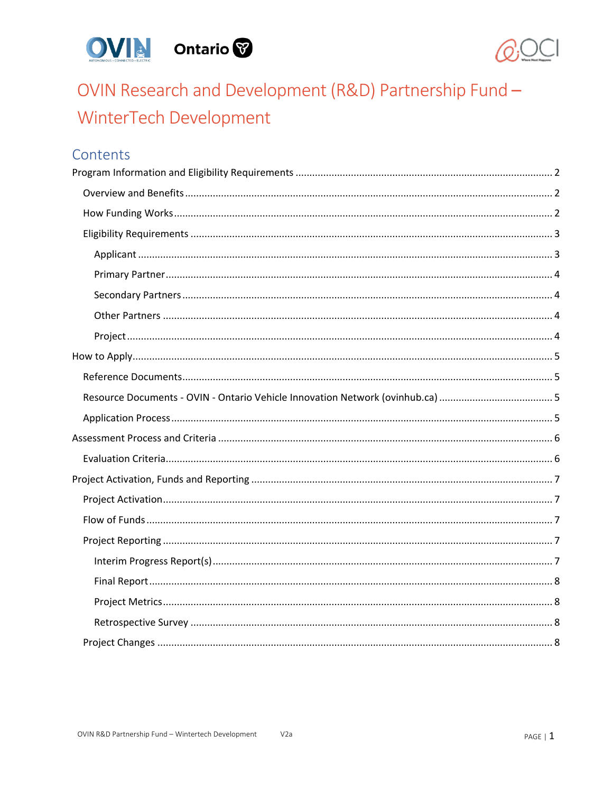



# OVIN Research and Development (R&D) Partnership Fund -WinterTech Development

# Contents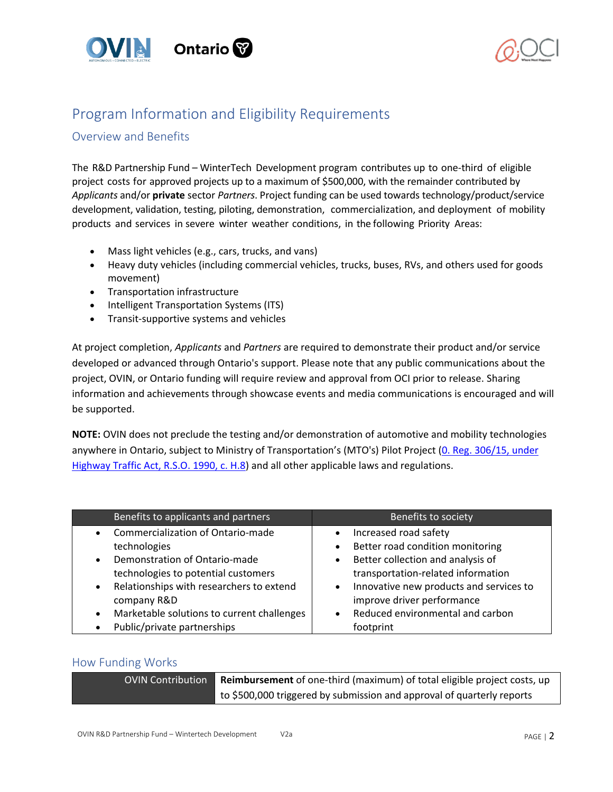



# <span id="page-1-0"></span>Program Information and Eligibility Requirements

# <span id="page-1-1"></span>Overview and Benefits

The R&D Partnership Fund – WinterTech Development program contributes up to one-third of eligible project costs for approved projects up to a maximum of \$500,000, with the remainder contributed by *Applicants* and/or **private** sector *Partners*. Project funding can be used towards technology/product/service development, validation, testing, piloting, demonstration, commercialization, and deployment of mobility products and services in severe winter weather conditions, in the following Priority Areas:

- Mass light vehicles (e.g., cars, trucks, and vans)
- Heavy duty vehicles (including commercial vehicles, trucks, buses, RVs, and others used for goods movement)
- Transportation infrastructure
- Intelligent Transportation Systems (ITS)
- Transit-supportive systems and vehicles

At project completion, *Applicants* and *Partners* are required to demonstrate their product and/or service developed or advanced through Ontario's support. Please note that any public communications about the project, OVIN, or Ontario funding will require review and approval from OCI prior to release. Sharing information and achievements through showcase events and media communications is encouraged and will be supported.

**NOTE:** OVIN does not preclude the testing and/or demonstration of automotive and mobility technologies anywhere in Ontario, subject to Ministry of Transportation's (MTO's) Pilot Project (0. Reg. 306/15, under [Highway Traffic Act, R.S.O. 1990, c. H.8\)](http://www.ontariocanada.com/registry/view.do?postingId=26147&language=en) and all other applicable laws and regulations.

| Benefits to applicants and partners                     | Benefits to society                                  |
|---------------------------------------------------------|------------------------------------------------------|
| Commercialization of Ontario-made<br>$\bullet$          | Increased road safety<br>$\bullet$                   |
| technologies                                            | Better road condition monitoring                     |
| Demonstration of Ontario-made<br>$\bullet$              | Better collection and analysis of<br>$\bullet$       |
| technologies to potential customers                     | transportation-related information                   |
| Relationships with researchers to extend<br>$\bullet$   | Innovative new products and services to<br>$\bullet$ |
| company R&D                                             | improve driver performance                           |
| Marketable solutions to current challenges<br>$\bullet$ | Reduced environmental and carbon<br>$\bullet$        |
| Public/private partnerships<br>$\bullet$                | footprint                                            |

### <span id="page-1-2"></span>How Funding Works

| OVIN Contribution | <b>Reimbursement</b> of one-third (maximum) of total eligible project costs, up |
|-------------------|---------------------------------------------------------------------------------|
|                   | to \$500,000 triggered by submission and approval of quarterly reports          |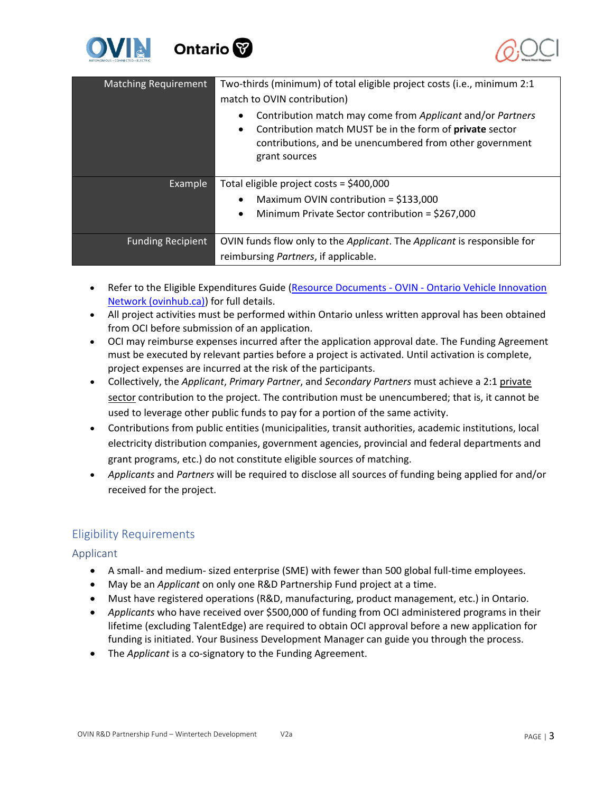



| <b>Matching Requirement</b> | Two-thirds (minimum) of total eligible project costs (i.e., minimum 2:1<br>match to OVIN contribution)                                                                                                                        |
|-----------------------------|-------------------------------------------------------------------------------------------------------------------------------------------------------------------------------------------------------------------------------|
|                             | Contribution match may come from Applicant and/or Partners<br>$\bullet$<br>Contribution match MUST be in the form of private sector<br>$\bullet$<br>contributions, and be unencumbered from other government<br>grant sources |
| Example                     | Total eligible project costs = \$400,000                                                                                                                                                                                      |
|                             | Maximum OVIN contribution = $$133,000$<br>$\bullet$                                                                                                                                                                           |
|                             | Minimum Private Sector contribution = $$267,000$<br>$\bullet$                                                                                                                                                                 |
| <b>Funding Recipient</b>    | OVIN funds flow only to the Applicant. The Applicant is responsible for                                                                                                                                                       |
|                             | reimbursing Partners, if applicable.                                                                                                                                                                                          |

- Refer to the Eligible Expenditures Guide (Resource Documents OVIN Ontario Vehicle Innovation [Network \(ovinhub.ca\)\)](https://www.ovinhub.ca/resource-documents/) for full details.
- All project activities must be performed within Ontario unless written approval has been obtained from OCI before submission of an application.
- OCI may reimburse expenses incurred after the application approval date. The Funding Agreement must be executed by relevant parties before a project is activated. Until activation is complete, project expenses are incurred at the risk of the participants.
- Collectively, the *Applicant*, *Primary Partner*, and *Secondary Partners* must achieve a 2:1 private sector contribution to the project. The contribution must be unencumbered; that is, it cannot be used to leverage other public funds to pay for a portion of the same activity.
- Contributions from public entities (municipalities, transit authorities, academic institutions, local electricity distribution companies, government agencies, provincial and federal departments and grant programs, etc.) do not constitute eligible sources of matching.
- *Applicants* and *Partners* will be required to disclose all sources of funding being applied for and/or received for the project.

# <span id="page-2-0"></span>Eligibility Requirements

<span id="page-2-1"></span>Applicant

- A small- and medium- sized enterprise (SME) with fewer than 500 global full-time employees.
- May be an *Applicant* on only one R&D Partnership Fund project at a time.
- Must have registered operations (R&D, manufacturing, product management, etc.) in Ontario.
- *Applicants* who have received over \$500,000 of funding from OCI administered programs in their lifetime (excluding TalentEdge) are required to obtain OCI approval before a new application for funding is initiated. Your Business Development Manager can guide you through the process.
- The *Applicant* is a co-signatory to the Funding Agreement.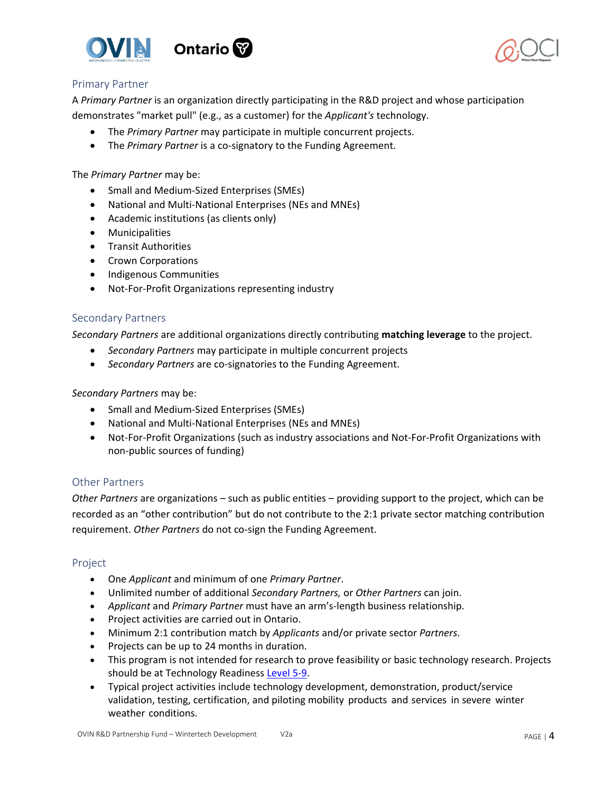





### <span id="page-3-0"></span>Primary Partner

A *Primary Partner* is an organization directly participating in the R&D project and whose participation demonstrates "market pull" (e.g., as a customer) for the *Applicant's* technology.

- The *Primary Partner* may participate in multiple concurrent projects.
- The *Primary Partner* is a co-signatory to the Funding Agreement.

The *Primary Partner* may be:

- Small and Medium-Sized Enterprises (SMEs)
- National and Multi-National Enterprises (NEs and MNEs)
- Academic institutions (as clients only)
- Municipalities
- Transit Authorities
- Crown Corporations
- Indigenous Communities
- Not-For-Profit Organizations representing industry

#### <span id="page-3-1"></span>Secondary Partners

*Secondary Partners* are additional organizations directly contributing **matching leverage** to the project.

- *Secondary Partners* may participate in multiple concurrent projects
- *Secondary Partners* are co-signatories to the Funding Agreement.

*Secondary Partners* may be:

- Small and Medium-Sized Enterprises (SMEs)
- National and Multi-National Enterprises (NEs and MNEs)
- Not-For-Profit Organizations (such as industry associations and Not-For-Profit Organizations with non-public sources of funding)

### <span id="page-3-2"></span>Other Partners

*Other Partners* are organizations – such as public entities – providing support to the project, which can be recorded as an "other contribution" but do not contribute to the 2:1 private sector matching contribution requirement. *Other Partners* do not co-sign the Funding Agreement.

### <span id="page-3-3"></span>Project

- One *Applicant* and minimum of one *Primary Partner*.
- Unlimited number of additional *Secondary Partners,* or *Other Partners* can join.
- *Applicant* and *Primary Partner* must have an arm's-length business relationship.
- Project activities are carried out in Ontario.
- Minimum 2:1 contribution match by *Applicants* and/or private sector *Partners*.
- Projects can be up to 24 months in duration.
- This program is not intended for research to prove feasibility or basic technology research. Projects should be at Technology Readiness [Level 5-9.](https://www.ic.gc.ca/eic/site/ito-oti.nsf/eng/00849.html)
- Typical project activities include technology development, demonstration, product/service validation, testing, certification, and piloting mobility products and services in severe winter weather conditions.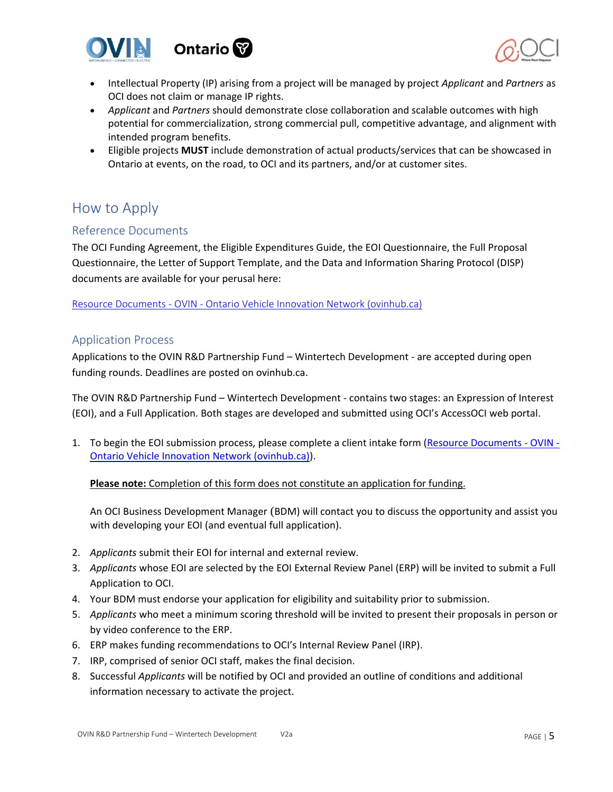



- Intellectual Property (IP) arising from a project will be managed by project *Applicant* and *Partners* as OCI does not claim or manage IP rights.
- *Applicant* and *Partners* should demonstrate close collaboration and scalable outcomes with high potential for commercialization, strong commercial pull, competitive advantage, and alignment with intended program benefits.
- Eligible projects **MUST** include demonstration of actual products/services that can be showcased in Ontario at events, on the road, to OCI and its partners, and/or at customer sites.

# <span id="page-4-0"></span>How to Apply

## <span id="page-4-1"></span>Reference Documents

The OCI Funding Agreement, the Eligible Expenditures Guide, the EOI Questionnaire, the Full Proposal Questionnaire, the Letter of Support Template, and the Data and Information Sharing Protocol (DISP) documents are available for your perusal here:

<span id="page-4-2"></span>Resource Documents - OVIN - [Ontario Vehicle Innovation Network \(ovinhub.ca\)](https://www.ovinhub.ca/resource-documents/)

### <span id="page-4-3"></span>Application Process

Applications to the OVIN R&D Partnership Fund – Wintertech Development - are accepted during open funding rounds. Deadlines are posted on ovinhub.ca.

The OVIN R&D Partnership Fund – Wintertech Development - contains two stages: an Expression of Interest (EOI), and a Full Application. Both stages are developed and submitted using OCI's AccessOCI web portal.

1. To begin the EOI submission process, please complete a client intake form [\(Resource Documents -](https://www.ovinhub.ca/resource-documents/) OVIN - [Ontario Vehicle Innovation Network \(ovinhub.ca\)\)](https://www.ovinhub.ca/resource-documents/).

**Please note:** Completion of this form does not constitute an application for funding.

An OCI Business Development Manager (BDM) will contact you to discuss the opportunity and assist you with developing your EOI (and eventual full application).

- 2. *Applicants* submit their EOI for internal and external review.
- 3. *Applicants* whose EOI are selected by the EOI External Review Panel (ERP) will be invited to submit a Full Application to OCI.
- 4. Your BDM must endorse your application for eligibility and suitability prior to submission.
- 5. *Applicants* who meet a minimum scoring threshold will be invited to present their proposals in person or by video conference to the ERP.
- 6. ERP makes funding recommendations to OCI's Internal Review Panel (IRP).
- 7. IRP, comprised of senior OCI staff, makes the final decision.
- 8. Successful *Applicants* will be notified by OCI and provided an outline of conditions and additional information necessary to activate the project.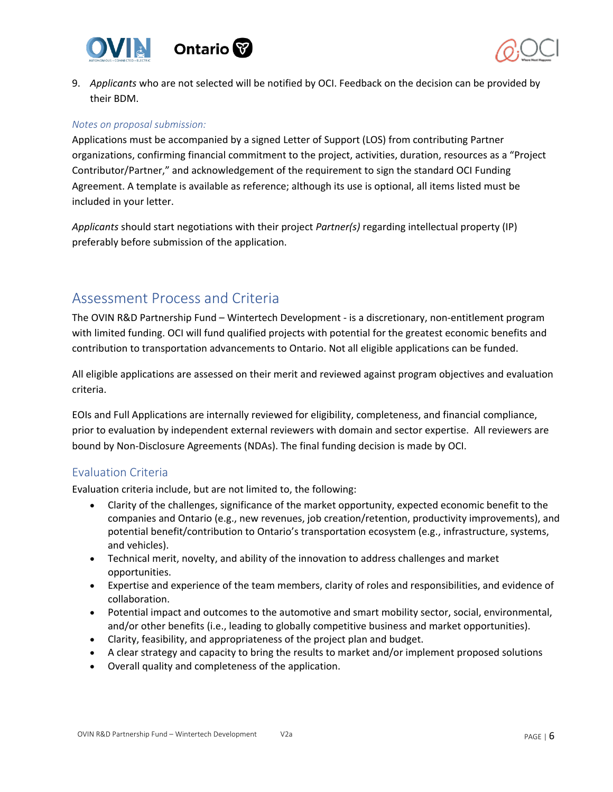



9. *Applicants* who are not selected will be notified by OCI. Feedback on the decision can be provided by their BDM.

#### *Notes on proposal submission:*

Applications must be accompanied by a signed Letter of Support (LOS) from contributing Partner organizations, confirming financial commitment to the project, activities, duration, resources as a "Project Contributor/Partner," and acknowledgement of the requirement to sign the standard OCI Funding Agreement. A template is available as reference; although its use is optional, all items listed must be included in your letter.

*Applicants* should start negotiations with their project *Partner(s)* regarding intellectual property (IP) preferably before submission of the application.

# <span id="page-5-0"></span>Assessment Process and Criteria

The OVIN R&D Partnership Fund – Wintertech Development - is a discretionary, non-entitlement program with limited funding. OCI will fund qualified projects with potential for the greatest economic benefits and contribution to transportation advancements to Ontario. Not all eligible applications can be funded.

All eligible applications are assessed on their merit and reviewed against program objectives and evaluation criteria.

EOIs and Full Applications are internally reviewed for eligibility, completeness, and financial compliance, prior to evaluation by independent external reviewers with domain and sector expertise. All reviewers are bound by Non-Disclosure Agreements (NDAs). The final funding decision is made by OCI.

### <span id="page-5-1"></span>Evaluation Criteria

Evaluation criteria include, but are not limited to, the following:

- Clarity of the challenges, significance of the market opportunity, expected economic benefit to the companies and Ontario (e.g., new revenues, job creation/retention, productivity improvements), and potential benefit/contribution to Ontario's transportation ecosystem (e.g., infrastructure, systems, and vehicles).
- Technical merit, novelty, and ability of the innovation to address challenges and market opportunities.
- Expertise and experience of the team members, clarity of roles and responsibilities, and evidence of collaboration.
- Potential impact and outcomes to the automotive and smart mobility sector, social, environmental, and/or other benefits (i.e., leading to globally competitive business and market opportunities).
- Clarity, feasibility, and appropriateness of the project plan and budget.
- A clear strategy and capacity to bring the results to market and/or implement proposed solutions
- Overall quality and completeness of the application.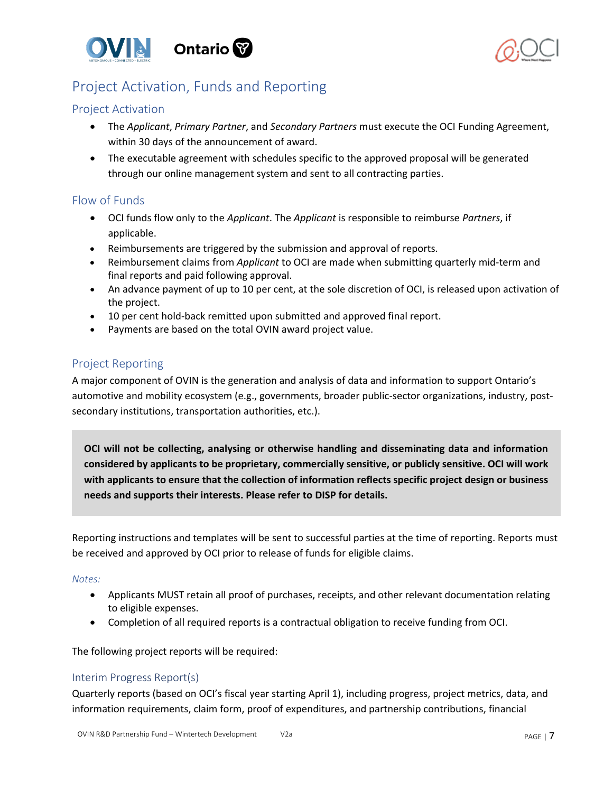



# <span id="page-6-0"></span>Project Activation, Funds and Reporting

### <span id="page-6-1"></span>Project Activation

- The *Applicant*, *Primary Partner*, and *Secondary Partners* must execute the OCI Funding Agreement, within 30 days of the announcement of award.
- The executable agreement with schedules specific to the approved proposal will be generated through our online management system and sent to all contracting parties.

### <span id="page-6-2"></span>Flow of Funds

- OCI funds flow only to the *Applicant*. The *Applicant* is responsible to reimburse *Partners*, if applicable.
- Reimbursements are triggered by the submission and approval of reports.
- Reimbursement claims from *Applicant* to OCI are made when submitting quarterly mid-term and final reports and paid following approval.
- An advance payment of up to 10 per cent, at the sole discretion of OCI, is released upon activation of the project.
- 10 per cent hold-back remitted upon submitted and approved final report.
- Payments are based on the total OVIN award project value.

# <span id="page-6-3"></span>Project Reporting

A major component of OVIN is the generation and analysis of data and information to support Ontario's automotive and mobility ecosystem (e.g., governments, broader public-sector organizations, industry, postsecondary institutions, transportation authorities, etc.).

**OCI will not be collecting, analysing or otherwise handling and disseminating data and information considered by applicants to be proprietary, commercially sensitive, or publicly sensitive. OCI will work with applicants to ensure that the collection of information reflects specific project design or business needs and supports their interests. Please refer to DISP for details.**

Reporting instructions and templates will be sent to successful parties at the time of reporting. Reports must be received and approved by OCI prior to release of funds for eligible claims.

#### *Notes:*

- Applicants MUST retain all proof of purchases, receipts, and other relevant documentation relating to eligible expenses.
- Completion of all required reports is a contractual obligation to receive funding from OCI.

The following project reports will be required:

### <span id="page-6-4"></span>Interim Progress Report(s)

Quarterly reports (based on OCI's fiscal year starting April 1), including progress, project metrics, data, and information requirements, claim form, proof of expenditures, and partnership contributions, financial